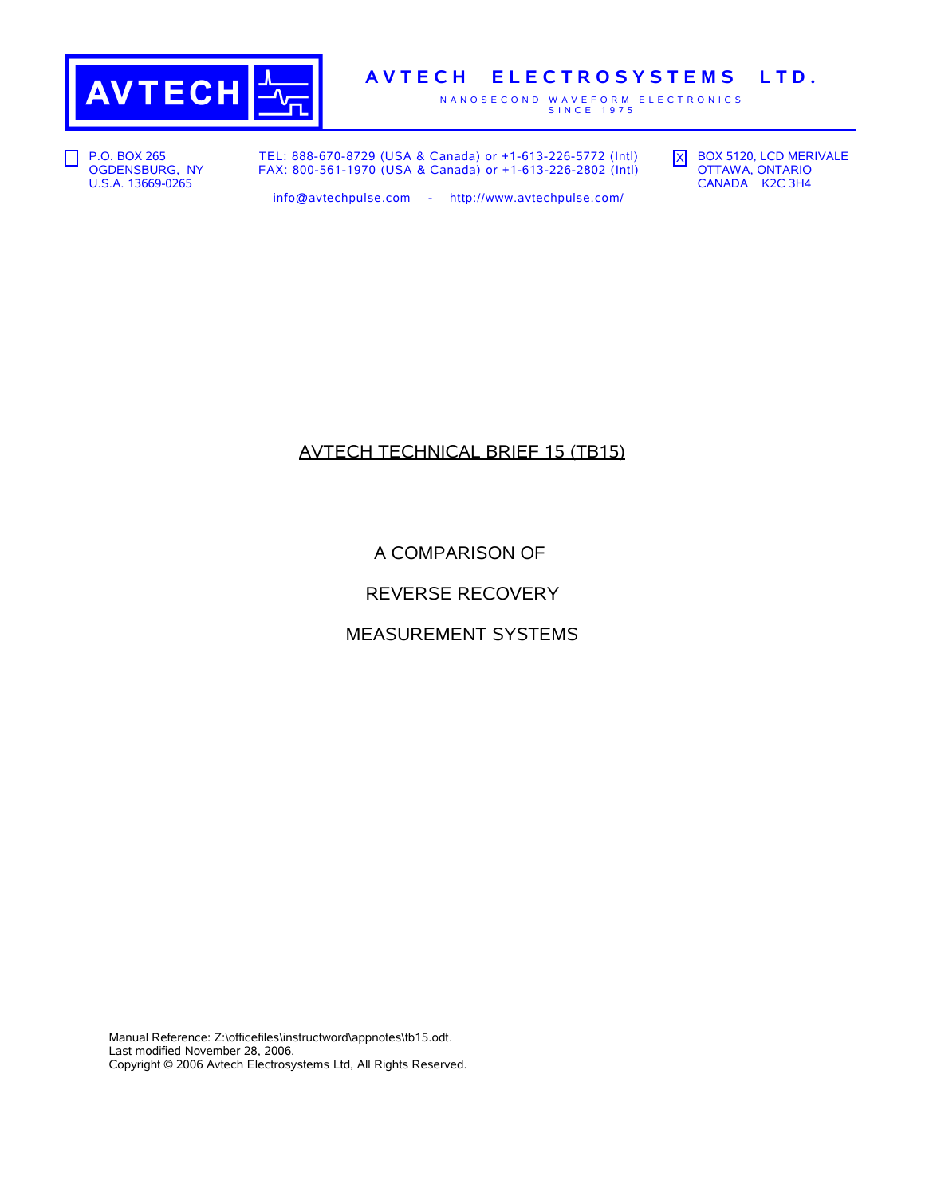

# **A V T E C H E L E C T R O S Y S T E M S L T D .**

N A N O S E C O N D W A V E F O R M E L E C T R O N I C S<br>S I N C E 1975

**P.O. BOX 265** OGDENSBURG, NY U.S.A. 13669-0265

TEL: 888-670-8729 (USA & Canada) or +1-613-226-5772 (Intl) FAX: 800-561-1970 (USA & Canada) or +1-613-226-2802 (Intl) X BOX 5120, LCD MERIVALE OTTAWA, ONTARIO CANADA K2C 3H4

info@avtechpulse.com - http://www.avtechpulse.com/

# AVTECH TECHNICAL BRIEF 15 (TB15)

A COMPARISON OF

REVERSE RECOVERY

MEASUREMENT SYSTEMS

Manual Reference: Z:\officefiles\instructword\appnotes\tb15.odt. Last modified November 28, 2006. Copyright © 2006 Avtech Electrosystems Ltd, All Rights Reserved.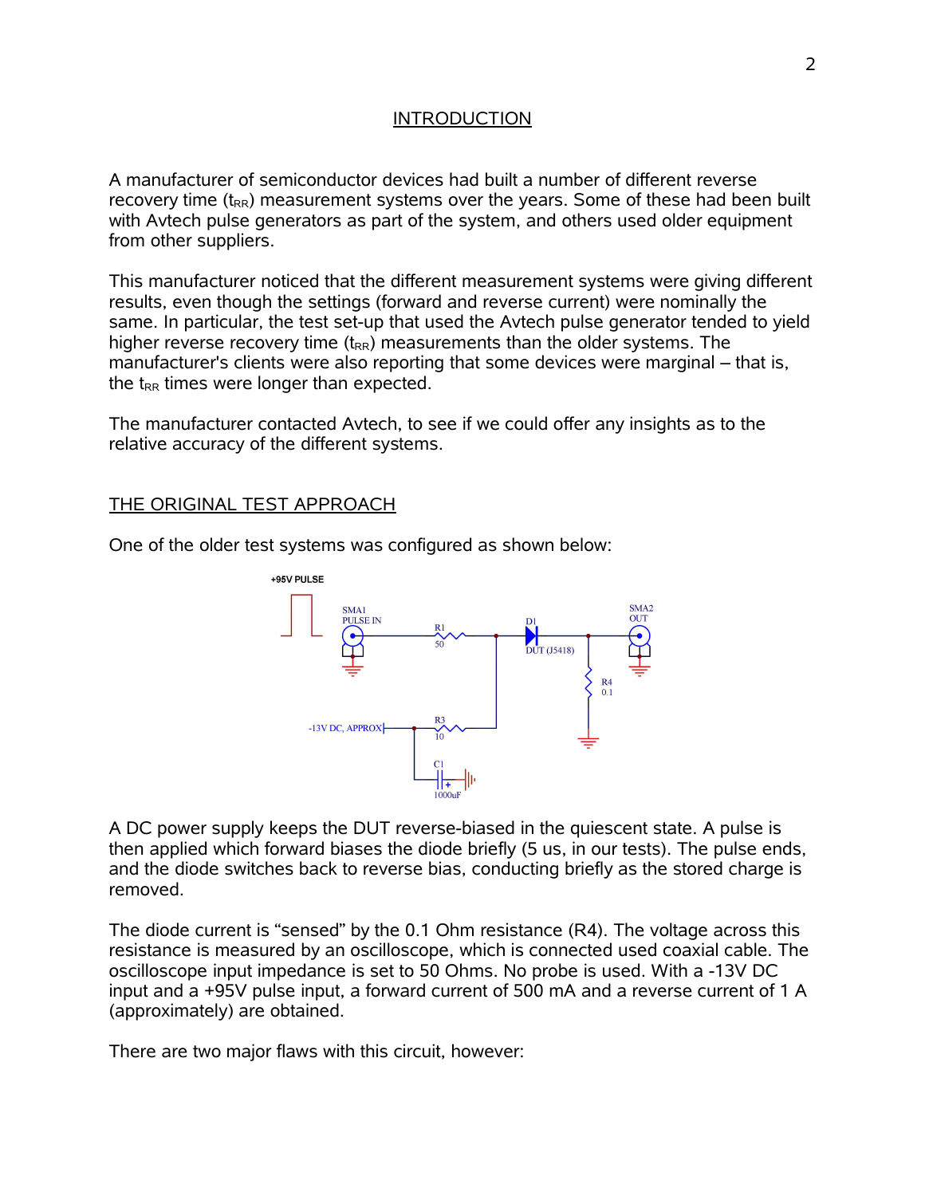### INTRODUCTION

A manufacturer of semiconductor devices had built a number of different reverse recovery time  $(t_{RR})$  measurement systems over the years. Some of these had been built with Avtech pulse generators as part of the system, and others used older equipment from other suppliers.

This manufacturer noticed that the different measurement systems were giving different results, even though the settings (forward and reverse current) were nominally the same. In particular, the test set-up that used the Avtech pulse generator tended to yield higher reverse recovery time  $(t_{RR})$  measurements than the older systems. The manufacturer's clients were also reporting that some devices were marginal – that is, the  $t_{RR}$  times were longer than expected.

The manufacturer contacted Avtech, to see if we could offer any insights as to the relative accuracy of the different systems.

### THE ORIGINAL TEST APPROACH

One of the older test systems was configured as shown below:



A DC power supply keeps the DUT reverse-biased in the quiescent state. A pulse is then applied which forward biases the diode briefly (5 us, in our tests). The pulse ends, and the diode switches back to reverse bias, conducting briefly as the stored charge is removed.

The diode current is "sensed" by the 0.1 Ohm resistance (R4). The voltage across this resistance is measured by an oscilloscope, which is connected used coaxial cable. The oscilloscope input impedance is set to 50 Ohms. No probe is used. With a -13V DC input and a +95V pulse input, a forward current of 500 mA and a reverse current of 1 A (approximately) are obtained.

There are two major flaws with this circuit, however: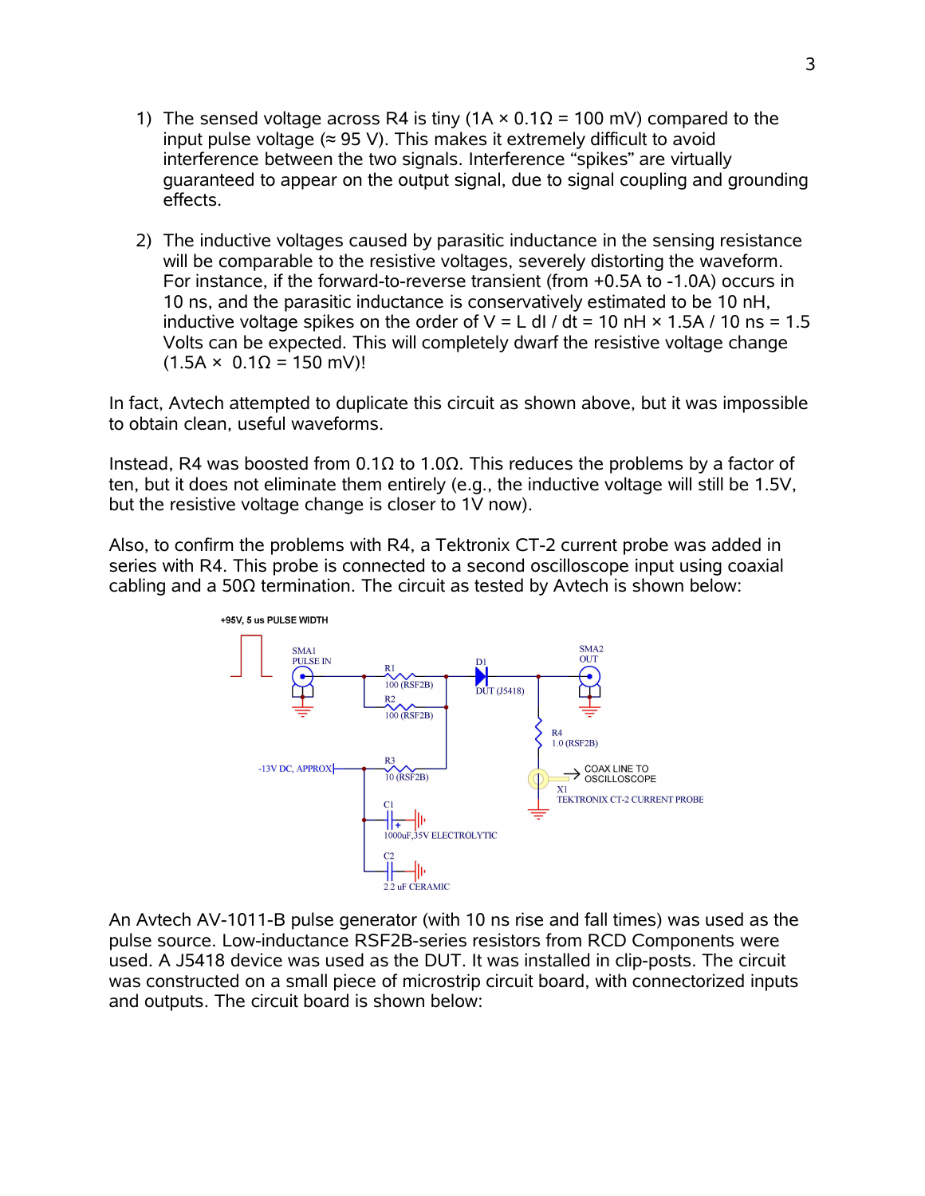- 1) The sensed voltage across R4 is tiny ( $1A \times 0.1\Omega = 100$  mV) compared to the input pulse voltage  $(\approx 95 \text{ V})$ . This makes it extremely difficult to avoid interference between the two signals. Interference "spikes" are virtually guaranteed to appear on the output signal, due to signal coupling and grounding effects.
- 2) The inductive voltages caused by parasitic inductance in the sensing resistance will be comparable to the resistive voltages, severely distorting the waveform. For instance, if the forward-to-reverse transient (from +0.5A to -1.0A) occurs in 10 ns, and the parasitic inductance is conservatively estimated to be 10 nH, inductive voltage spikes on the order of  $V = L$  dl / dt = 10 nH  $\times$  1.5A / 10 ns = 1.5 Volts can be expected. This will completely dwarf the resistive voltage change  $(1.5A × 0.1Ω = 150 mV)!$

In fact, Avtech attempted to duplicate this circuit as shown above, but it was impossible to obtain clean, useful waveforms.

Instead, R4 was boosted from 0.1Ω to 1.0Ω. This reduces the problems by a factor of ten, but it does not eliminate them entirely (e.g., the inductive voltage will still be 1.5V, but the resistive voltage change is closer to 1V now).

Also, to confirm the problems with R4, a Tektronix CT-2 current probe was added in series with R4. This probe is connected to a second oscilloscope input using coaxial cabling and a 50Ω termination. The circuit as tested by Avtech is shown below:



An Avtech AV-1011-B pulse generator (with 10 ns rise and fall times) was used as the pulse source. Low-inductance RSF2B-series resistors from RCD Components were used. A J5418 device was used as the DUT. It was installed in clip-posts. The circuit was constructed on a small piece of microstrip circuit board, with connectorized inputs and outputs. The circuit board is shown below: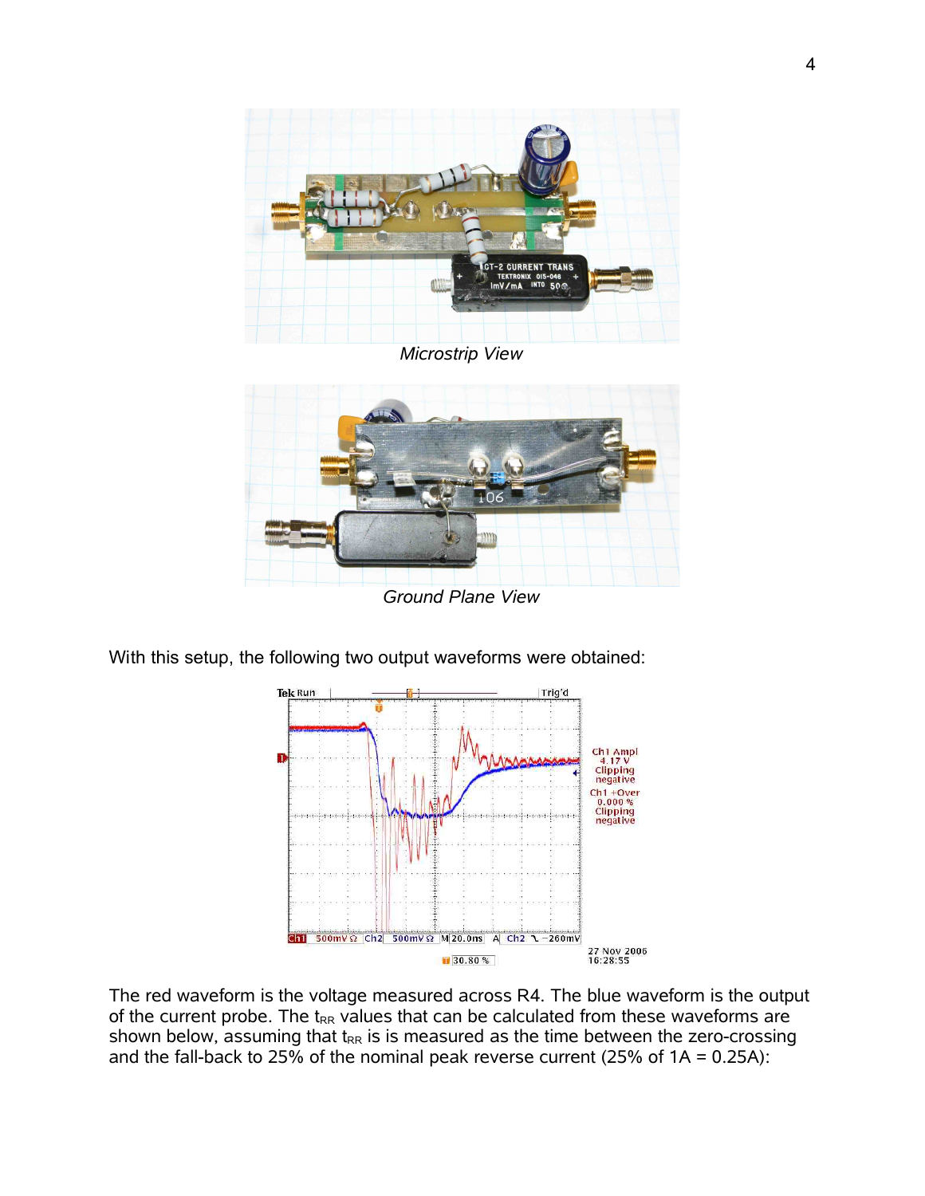

*Microstrip View*



*Ground Plane View*

With this setup, the following two output waveforms were obtained:



The red waveform is the voltage measured across R4. The blue waveform is the output of the current probe. The  $t_{RR}$  values that can be calculated from these waveforms are shown below, assuming that  $t_{RR}$  is is measured as the time between the zero-crossing and the fall-back to 25% of the nominal peak reverse current (25% of  $1A = 0.25A$ ):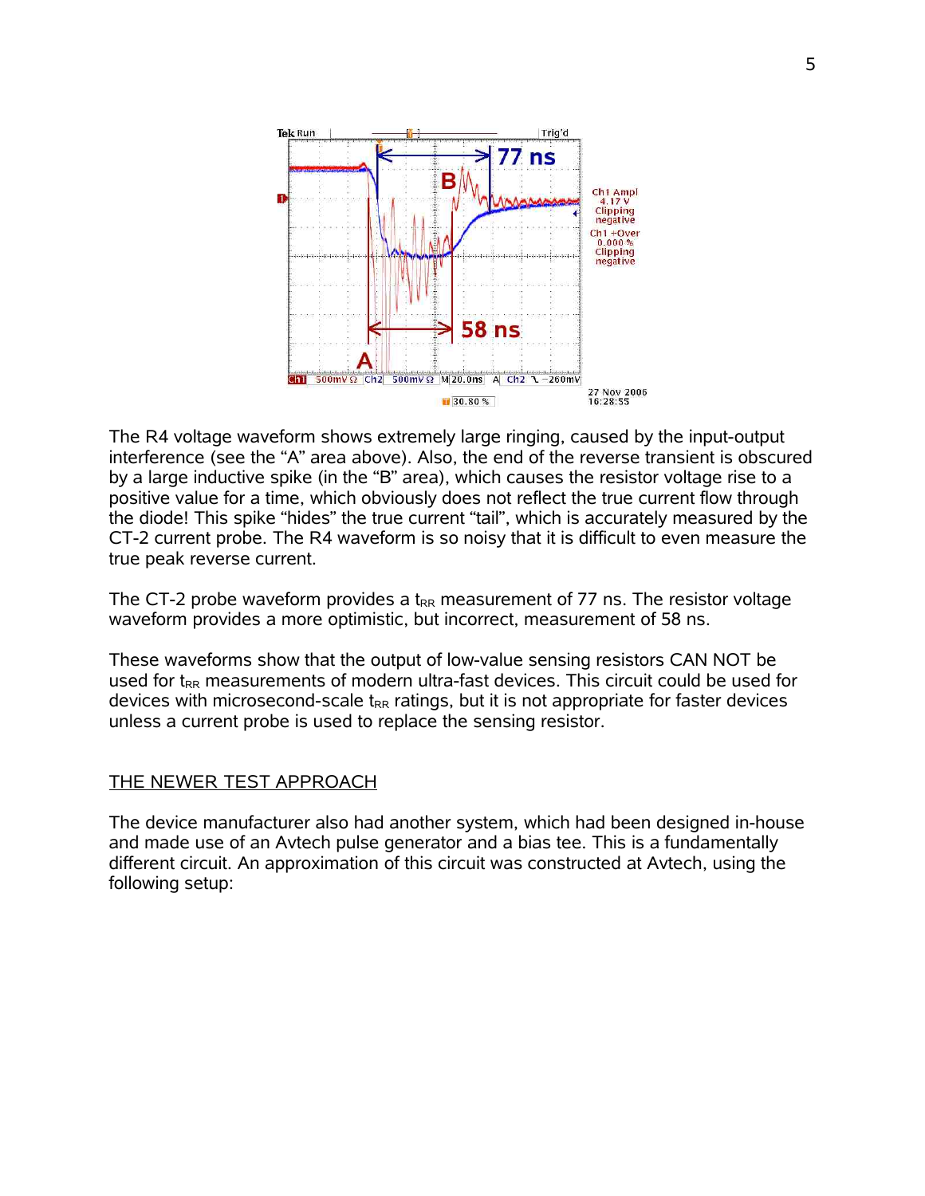

The R4 voltage waveform shows extremely large ringing, caused by the input-output interference (see the "A" area above). Also, the end of the reverse transient is obscured by a large inductive spike (in the "B" area), which causes the resistor voltage rise to a positive value for a time, which obviously does not reflect the true current flow through the diode! This spike "hides" the true current "tail", which is accurately measured by the CT-2 current probe. The R4 waveform is so noisy that it is difficult to even measure the true peak reverse current.

The CT-2 probe waveform provides a  $t_{RR}$  measurement of 77 ns. The resistor voltage waveform provides a more optimistic, but incorrect, measurement of 58 ns.

These waveforms show that the output of low-value sensing resistors CAN NOT be used for  $t_{RR}$  measurements of modern ultra-fast devices. This circuit could be used for devices with microsecond-scale  $t_{RR}$  ratings, but it is not appropriate for faster devices unless a current probe is used to replace the sensing resistor.

#### THE NEWER TEST APPROACH

The device manufacturer also had another system, which had been designed in-house and made use of an Avtech pulse generator and a bias tee. This is a fundamentally different circuit. An approximation of this circuit was constructed at Avtech, using the following setup: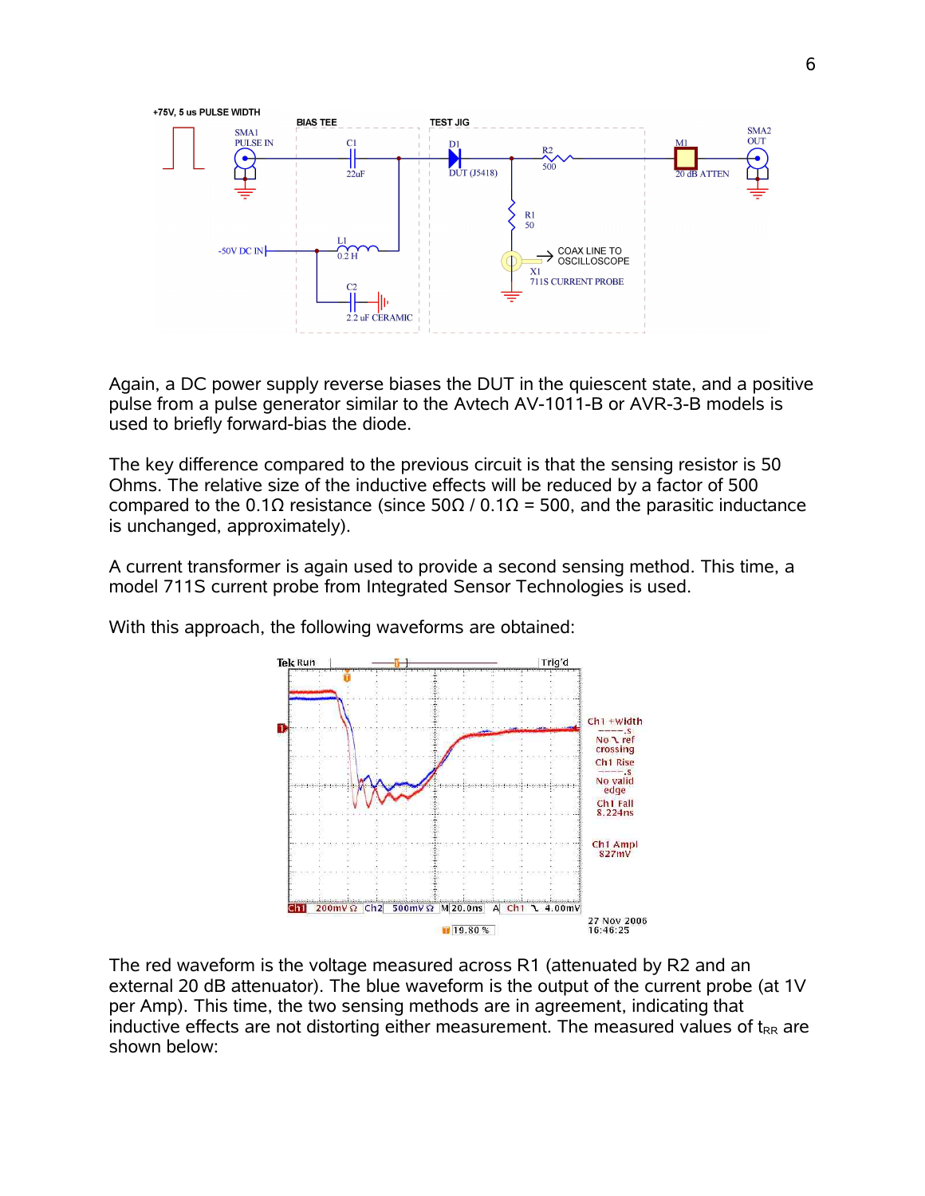

Again, a DC power supply reverse biases the DUT in the quiescent state, and a positive pulse from a pulse generator similar to the Avtech AV-1011-B or AVR-3-B models is used to briefly forward-bias the diode.

The key difference compared to the previous circuit is that the sensing resistor is 50 Ohms. The relative size of the inductive effects will be reduced by a factor of 500 compared to the 0.1Ω resistance (since 50Ω / 0.1Ω = 500, and the parasitic inductance is unchanged, approximately).

A current transformer is again used to provide a second sensing method. This time, a model 711S current probe from Integrated Sensor Technologies is used.

With this approach, the following waveforms are obtained:



The red waveform is the voltage measured across R1 (attenuated by R2 and an external 20 dB attenuator). The blue waveform is the output of the current probe (at 1V per Amp). This time, the two sensing methods are in agreement, indicating that inductive effects are not distorting either measurement. The measured values of  $t_{RR}$  are shown below: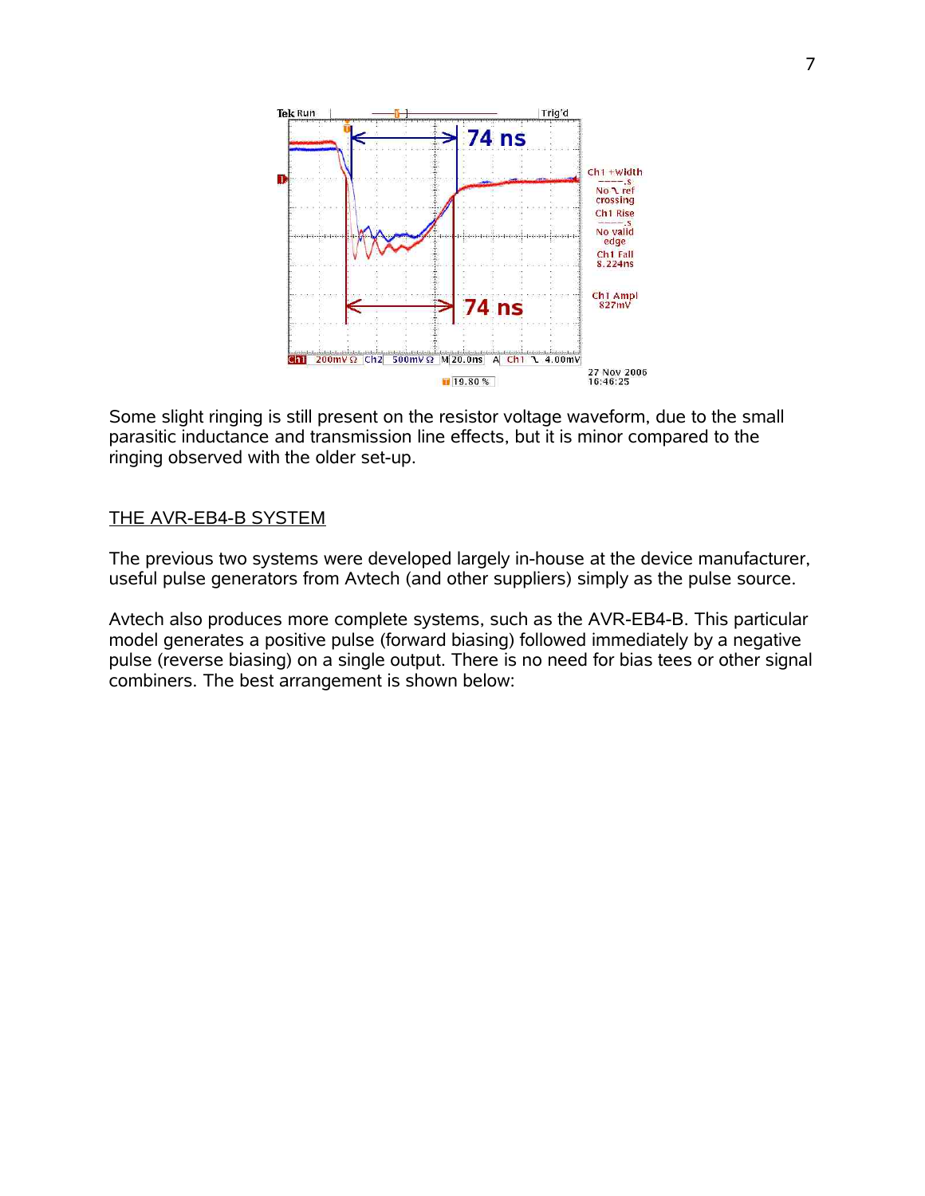

Some slight ringing is still present on the resistor voltage waveform, due to the small parasitic inductance and transmission line effects, but it is minor compared to the ringing observed with the older set-up.

#### THE AVR-EB4-B SYSTEM

The previous two systems were developed largely in-house at the device manufacturer, useful pulse generators from Avtech (and other suppliers) simply as the pulse source.

Avtech also produces more complete systems, such as the AVR-EB4-B. This particular model generates a positive pulse (forward biasing) followed immediately by a negative pulse (reverse biasing) on a single output. There is no need for bias tees or other signal combiners. The best arrangement is shown below: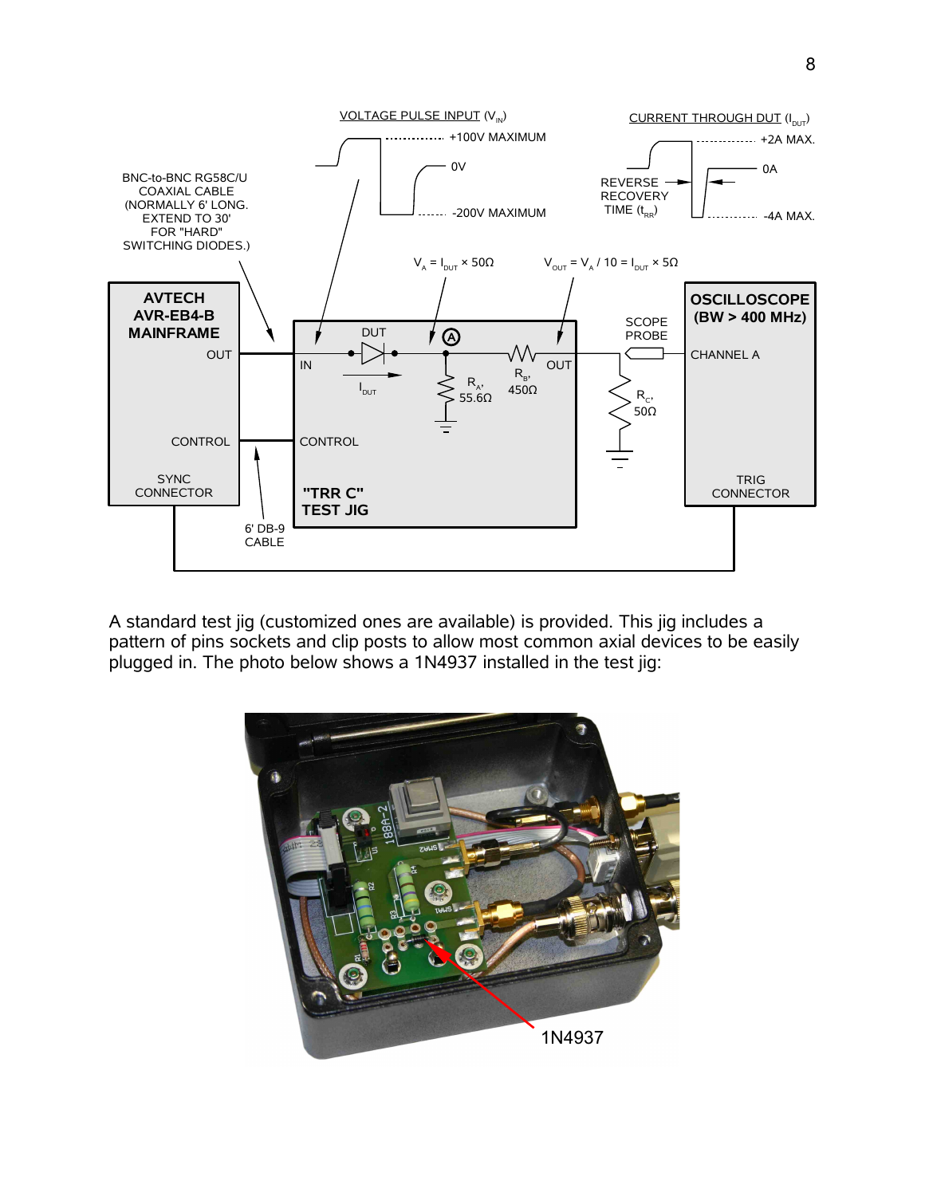

A standard test jig (customized ones are available) is provided. This jig includes a pattern of pins sockets and clip posts to allow most common axial devices to be easily plugged in. The photo below shows a 1N4937 installed in the test jig:

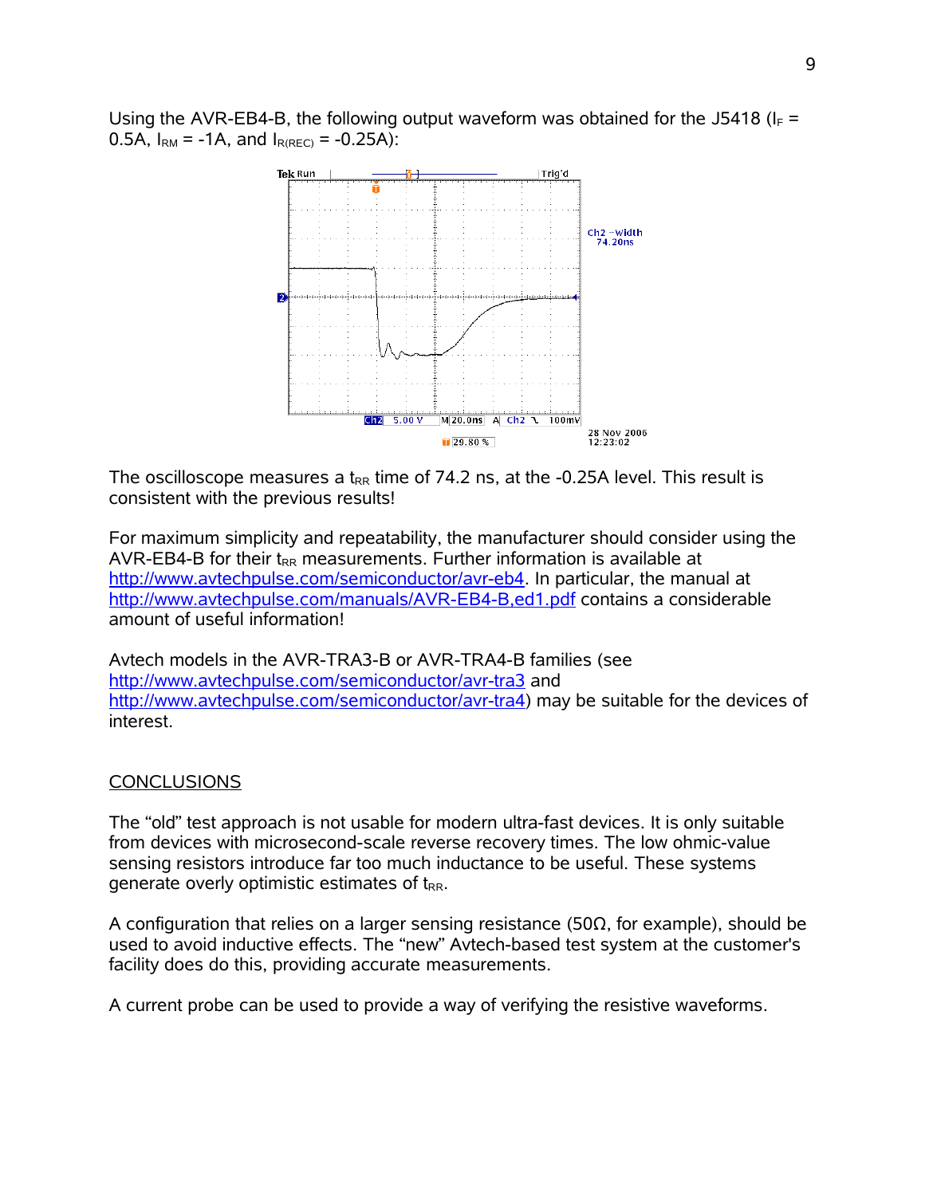Using the AVR-EB4-B, the following output waveform was obtained for the J5418 ( $I_F$  = 0.5A,  $I_{RM}$  = -1A, and  $I_{R(REC)}$  = -0.25A):



The oscilloscope measures a  $t_{RR}$  time of 74.2 ns, at the -0.25A level. This result is consistent with the previous results!

For maximum simplicity and repeatability, the manufacturer should consider using the AVR-EB4-B for their  $t_{RR}$  measurements. Further information is available at [http://www.avtechpulse.com/semiconductor/avr-eb4.](http://www.avtechpulse.com/semiconductor/avr-eb4) In particular, the manual at <http://www.avtechpulse.com/manuals/AVR-EB4-B,ed1.pdf>contains a considerable amount of useful information!

Avtech models in the AVR-TRA3-B or AVR-TRA4-B families (see <http://www.avtechpulse.com/semiconductor/avr-tra3>and [http://www.avtechpulse.com/semiconductor/avr-tra4\)](http://www.avtechpulse.com/semiconductor/avr-tra4) may be suitable for the devices of interest.

## **CONCLUSIONS**

The "old" test approach is not usable for modern ultra-fast devices. It is only suitable from devices with microsecond-scale reverse recovery times. The low ohmic-value sensing resistors introduce far too much inductance to be useful. These systems generate overly optimistic estimates of  $t_{RR}$ .

A configuration that relies on a larger sensing resistance (50 $\Omega$ , for example), should be used to avoid inductive effects. The "new" Avtech-based test system at the customer's facility does do this, providing accurate measurements.

A current probe can be used to provide a way of verifying the resistive waveforms.